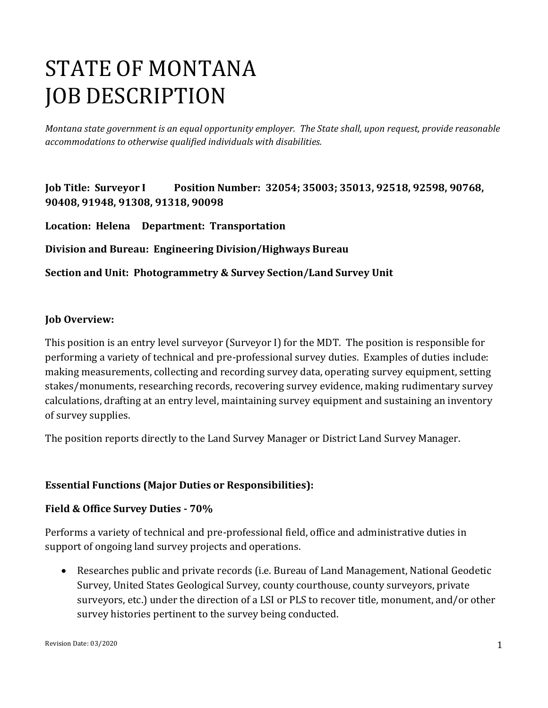# STATE OF MONTANA JOB DESCRIPTION

*Montana state government is an equal opportunity employer. The State shall, upon request, provide reasonable accommodations to otherwise qualified individuals with disabilities.*

**Job Title: Surveyor I Position Number: 32054; 35003; 35013, 92518, 92598, 90768, 90408, 91948, 91308, 91318, 90098** 

**Location: Helena Department: Transportation** 

**Division and Bureau: Engineering Division/Highways Bureau** 

**Section and Unit: Photogrammetry & Survey Section/Land Survey Unit**

#### **Job Overview:**

This position is an entry level surveyor (Surveyor I) for the MDT. The position is responsible for performing a variety of technical and pre-professional survey duties. Examples of duties include: making measurements, collecting and recording survey data, operating survey equipment, setting stakes/monuments, researching records, recovering survey evidence, making rudimentary survey calculations, drafting at an entry level, maintaining survey equipment and sustaining an inventory of survey supplies.

The position reports directly to the Land Survey Manager or District Land Survey Manager.

#### **Essential Functions (Major Duties or Responsibilities):**

#### **Field & Office Survey Duties - 70%**

Performs a variety of technical and pre-professional field, office and administrative duties in support of ongoing land survey projects and operations.

• Researches public and private records (i.e. Bureau of Land Management, National Geodetic Survey, United States Geological Survey, county courthouse, county surveyors, private surveyors, etc.) under the direction of a LSI or PLS to recover title, monument, and/or other survey histories pertinent to the survey being conducted.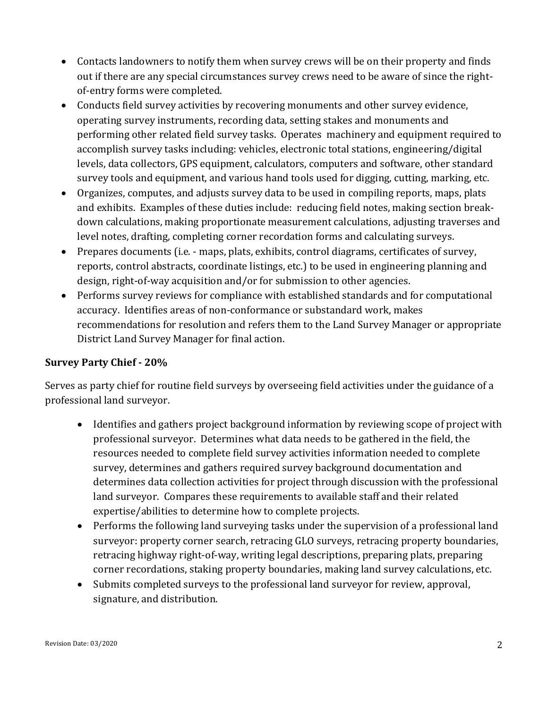- Contacts landowners to notify them when survey crews will be on their property and finds out if there are any special circumstances survey crews need to be aware of since the rightof-entry forms were completed.
- Conducts field survey activities by recovering monuments and other survey evidence, operating survey instruments, recording data, setting stakes and monuments and performing other related field survey tasks. Operates machinery and equipment required to accomplish survey tasks including: vehicles, electronic total stations, engineering/digital levels, data collectors, GPS equipment, calculators, computers and software, other standard survey tools and equipment, and various hand tools used for digging, cutting, marking, etc.
- Organizes, computes, and adjusts survey data to be used in compiling reports, maps, plats and exhibits. Examples of these duties include: reducing field notes, making section breakdown calculations, making proportionate measurement calculations, adjusting traverses and level notes, drafting, completing corner recordation forms and calculating surveys.
- Prepares documents (i.e. maps, plats, exhibits, control diagrams, certificates of survey, reports, control abstracts, coordinate listings, etc.) to be used in engineering planning and design, right-of-way acquisition and/or for submission to other agencies.
- Performs survey reviews for compliance with established standards and for computational accuracy. Identifies areas of non-conformance or substandard work, makes recommendations for resolution and refers them to the Land Survey Manager or appropriate District Land Survey Manager for final action.

#### **Survey Party Chief - 20%**

Serves as party chief for routine field surveys by overseeing field activities under the guidance of a professional land surveyor.

- Identifies and gathers project background information by reviewing scope of project with professional surveyor. Determines what data needs to be gathered in the field, the resources needed to complete field survey activities information needed to complete survey, determines and gathers required survey background documentation and determines data collection activities for project through discussion with the professional land surveyor. Compares these requirements to available staff and their related expertise/abilities to determine how to complete projects.
- Performs the following land surveying tasks under the supervision of a professional land surveyor: property corner search, retracing GLO surveys, retracing property boundaries, retracing highway right-of-way, writing legal descriptions, preparing plats, preparing corner recordations, staking property boundaries, making land survey calculations, etc.
- Submits completed surveys to the professional land surveyor for review, approval, signature, and distribution.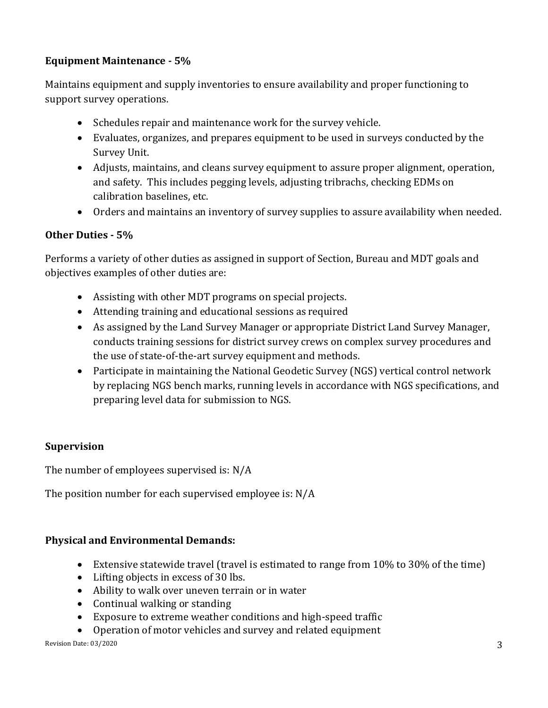## **Equipment Maintenance - 5%**

Maintains equipment and supply inventories to ensure availability and proper functioning to support survey operations.

- Schedules repair and maintenance work for the survey vehicle.
- Evaluates, organizes, and prepares equipment to be used in surveys conducted by the Survey Unit.
- Adjusts, maintains, and cleans survey equipment to assure proper alignment, operation, and safety. This includes pegging levels, adjusting tribrachs, checking EDMs on calibration baselines, etc.
- Orders and maintains an inventory of survey supplies to assure availability when needed.

### **Other Duties - 5%**

Performs a variety of other duties as assigned in support of Section, Bureau and MDT goals and objectives examples of other duties are:

- Assisting with other MDT programs on special projects.
- Attending training and educational sessions as required
- As assigned by the Land Survey Manager or appropriate District Land Survey Manager, conducts training sessions for district survey crews on complex survey procedures and the use of state-of-the-art survey equipment and methods.
- Participate in maintaining the National Geodetic Survey (NGS) vertical control network by replacing NGS bench marks, running levels in accordance with NGS specifications, and preparing level data for submission to NGS.

#### **Supervision**

The number of employees supervised is: N/A

The position number for each supervised employee is: N/A

#### **Physical and Environmental Demands:**

- Extensive statewide travel (travel is estimated to range from 10% to 30% of the time)
- Lifting objects in excess of 30 lbs.
- Ability to walk over uneven terrain or in water
- Continual walking or standing
- Exposure to extreme weather conditions and high-speed traffic
- Operation of motor vehicles and survey and related equipment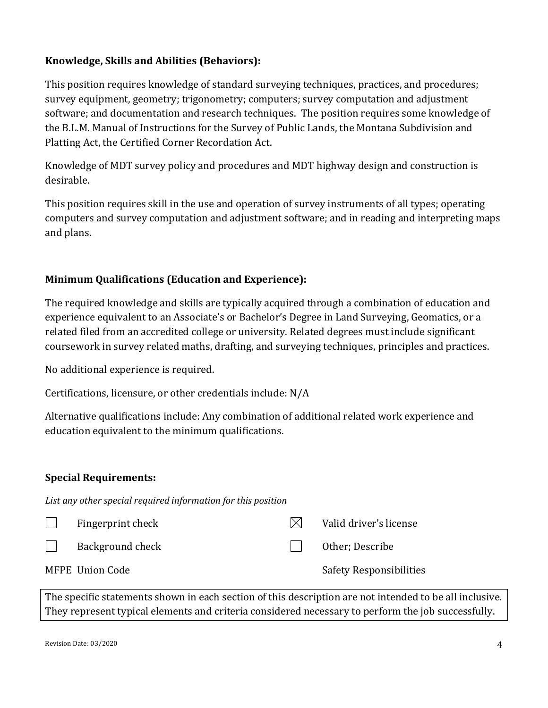### **Knowledge, Skills and Abilities (Behaviors):**

This position requires knowledge of standard surveying techniques, practices, and procedures; survey equipment, geometry; trigonometry; computers; survey computation and adjustment software; and documentation and research techniques. The position requires some knowledge of the B.L.M. Manual of Instructions for the Survey of Public Lands, the Montana Subdivision and Platting Act, the Certified Corner Recordation Act.

Knowledge of MDT survey policy and procedures and MDT highway design and construction is desirable.

This position requires skill in the use and operation of survey instruments of all types; operating computers and survey computation and adjustment software; and in reading and interpreting maps and plans.

### **Minimum Qualifications (Education and Experience):**

The required knowledge and skills are typically acquired through a combination of education and experience equivalent to an Associate's or Bachelor's Degree in Land Surveying, Geomatics, or a related filed from an accredited college or university. Related degrees must include significant coursework in survey related maths, drafting, and surveying techniques, principles and practices.

No additional experience is required.

Certifications, licensure, or other credentials include: N/A

Alternative qualifications include: Any combination of additional related work experience and education equivalent to the minimum qualifications.

#### **Special Requirements:**

*List any other special required information for this position*

|              | Fingerprint check | IXI. | Valid driver's license         |
|--------------|-------------------|------|--------------------------------|
| $\mathbf{1}$ | Background check  |      | Other; Describe                |
|              | MFPE Union Code   |      | <b>Safety Responsibilities</b> |

The specific statements shown in each section of this description are not intended to be all inclusive. They represent typical elements and criteria considered necessary to perform the job successfully.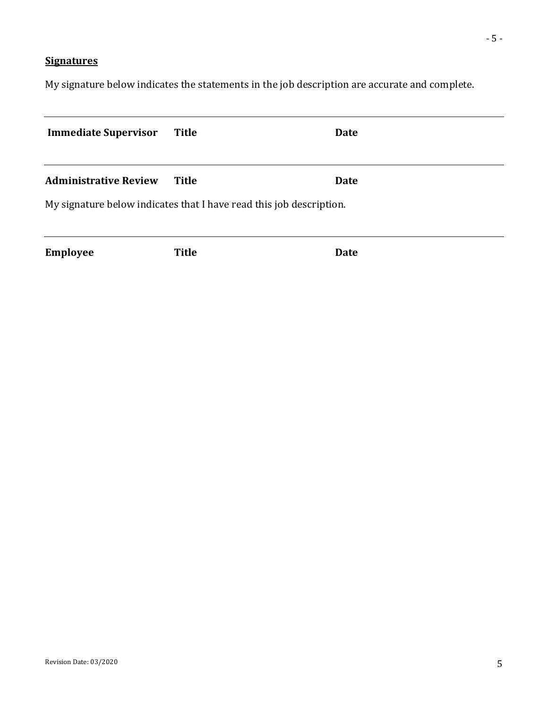# **Signatures**

My signature below indicates the statements in the job description are accurate and complete.

| <b>Immediate Supervisor</b>  | Title                                                                        | <b>Date</b> |
|------------------------------|------------------------------------------------------------------------------|-------------|
| <b>Administrative Review</b> | Title<br>My signature below indicates that I have read this job description. | <b>Date</b> |
| <b>Employee</b>              | <b>Title</b>                                                                 | <b>Date</b> |